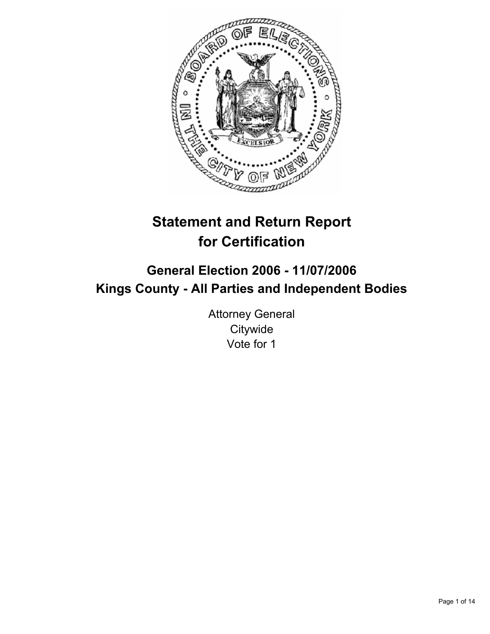

# **Statement and Return Report for Certification**

# **General Election 2006 - 11/07/2006 Kings County - All Parties and Independent Bodies**

Attorney General **Citywide** Vote for 1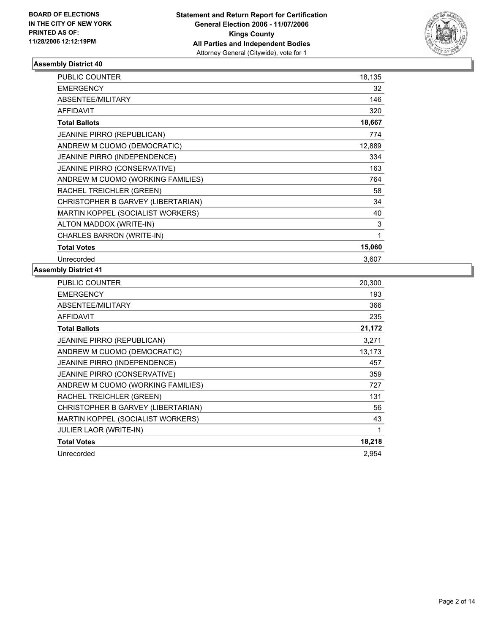

| PUBLIC COUNTER                      | 18,135 |
|-------------------------------------|--------|
| <b>EMERGENCY</b>                    | 32     |
| ABSENTEE/MILITARY                   | 146    |
| <b>AFFIDAVIT</b>                    | 320    |
| <b>Total Ballots</b>                | 18,667 |
| <b>JEANINE PIRRO (REPUBLICAN)</b>   | 774    |
| ANDREW M CUOMO (DEMOCRATIC)         | 12,889 |
| JEANINE PIRRO (INDEPENDENCE)        | 334    |
| <b>JEANINE PIRRO (CONSERVATIVE)</b> | 163    |
| ANDREW M CUOMO (WORKING FAMILIES)   | 764    |
| RACHEL TREICHLER (GREEN)            | 58     |
| CHRISTOPHER B GARVEY (LIBERTARIAN)  | 34     |
| MARTIN KOPPEL (SOCIALIST WORKERS)   | 40     |
| ALTON MADDOX (WRITE-IN)             | 3      |
| CHARLES BARRON (WRITE-IN)           | 1      |
| <b>Total Votes</b>                  | 15,060 |
| Unrecorded                          | 3,607  |

| PUBLIC COUNTER                      | 20,300 |
|-------------------------------------|--------|
| <b>EMERGENCY</b>                    | 193    |
| ABSENTEE/MILITARY                   | 366    |
| AFFIDAVIT                           | 235    |
| <b>Total Ballots</b>                | 21,172 |
| <b>JEANINE PIRRO (REPUBLICAN)</b>   | 3,271  |
| ANDREW M CUOMO (DEMOCRATIC)         | 13,173 |
| <b>JEANINE PIRRO (INDEPENDENCE)</b> | 457    |
| <b>JEANINE PIRRO (CONSERVATIVE)</b> | 359    |
| ANDREW M CUOMO (WORKING FAMILIES)   | 727    |
| RACHEL TREICHLER (GREEN)            | 131    |
| CHRISTOPHER B GARVEY (LIBERTARIAN)  | 56     |
| MARTIN KOPPEL (SOCIALIST WORKERS)   | 43     |
| <b>JULIER LAOR (WRITE-IN)</b>       |        |
| <b>Total Votes</b>                  | 18,218 |
| Unrecorded                          | 2.954  |
|                                     |        |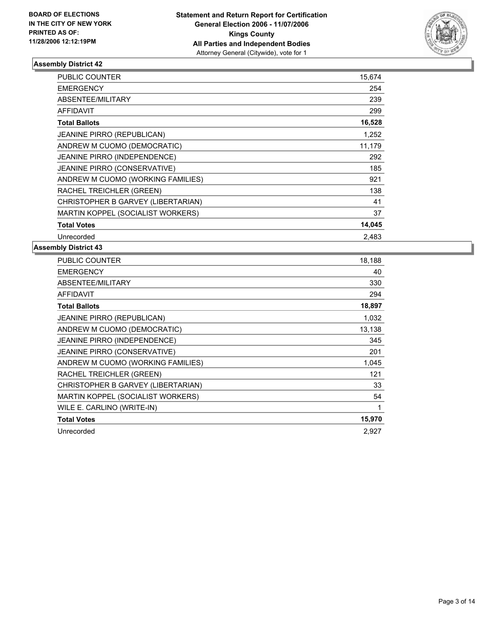

| <b>PUBLIC COUNTER</b>              | 15,674 |  |
|------------------------------------|--------|--|
| <b>EMERGENCY</b>                   | 254    |  |
| ABSENTEE/MILITARY                  | 239    |  |
| AFFIDAVIT                          | 299    |  |
| <b>Total Ballots</b>               | 16,528 |  |
| <b>JEANINE PIRRO (REPUBLICAN)</b>  | 1,252  |  |
| ANDREW M CUOMO (DEMOCRATIC)        | 11,179 |  |
| JEANINE PIRRO (INDEPENDENCE)       | 292    |  |
| JEANINE PIRRO (CONSERVATIVE)       | 185    |  |
| ANDREW M CUOMO (WORKING FAMILIES)  | 921    |  |
| RACHEL TREICHLER (GREEN)           | 138    |  |
| CHRISTOPHER B GARVEY (LIBERTARIAN) | 41     |  |
| MARTIN KOPPEL (SOCIALIST WORKERS)  | 37     |  |
| <b>Total Votes</b>                 | 14,045 |  |
| Unrecorded                         | 2.483  |  |

| PUBLIC COUNTER                      | 18,188 |
|-------------------------------------|--------|
| <b>EMERGENCY</b>                    | 40     |
| ABSENTEE/MILITARY                   | 330    |
| <b>AFFIDAVIT</b>                    | 294    |
| <b>Total Ballots</b>                | 18,897 |
| <b>JEANINE PIRRO (REPUBLICAN)</b>   | 1,032  |
| ANDREW M CUOMO (DEMOCRATIC)         | 13,138 |
| <b>JEANINE PIRRO (INDEPENDENCE)</b> | 345    |
| JEANINE PIRRO (CONSERVATIVE)        | 201    |
| ANDREW M CUOMO (WORKING FAMILIES)   | 1,045  |
| RACHEL TREICHLER (GREEN)            | 121    |
| CHRISTOPHER B GARVEY (LIBERTARIAN)  | 33     |
| MARTIN KOPPEL (SOCIALIST WORKERS)   | 54     |
| WILE E. CARLINO (WRITE-IN)          | 1      |
| <b>Total Votes</b>                  | 15,970 |
| Unrecorded                          | 2,927  |
|                                     |        |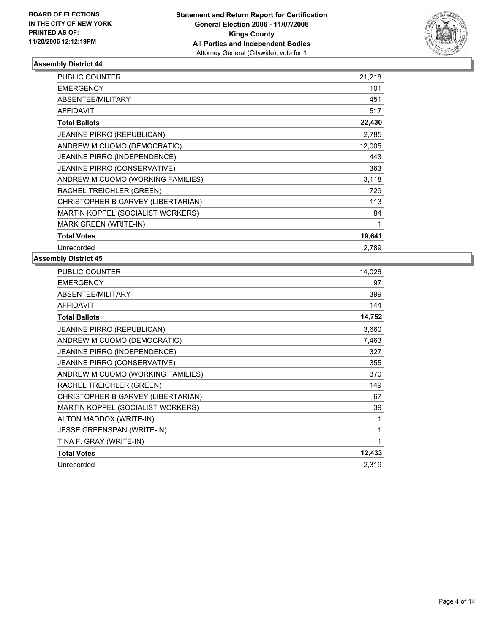

| PUBLIC COUNTER                      | 21,218 |
|-------------------------------------|--------|
| <b>EMERGENCY</b>                    | 101    |
| <b>ABSENTEE/MILITARY</b>            | 451    |
| <b>AFFIDAVIT</b>                    | 517    |
| <b>Total Ballots</b>                | 22,430 |
| <b>JEANINE PIRRO (REPUBLICAN)</b>   | 2,785  |
| ANDREW M CUOMO (DEMOCRATIC)         | 12,005 |
| JEANINE PIRRO (INDEPENDENCE)        | 443    |
| <b>JEANINE PIRRO (CONSERVATIVE)</b> | 363    |
| ANDREW M CUOMO (WORKING FAMILIES)   | 3,118  |
| RACHEL TREICHLER (GREEN)            | 729    |
| CHRISTOPHER B GARVEY (LIBERTARIAN)  | 113    |
| MARTIN KOPPEL (SOCIALIST WORKERS)   | 84     |
| <b>MARK GREEN (WRITE-IN)</b>        |        |
| <b>Total Votes</b>                  | 19,641 |
| Unrecorded                          | 2,789  |

| <b>PUBLIC COUNTER</b>              | 14,026 |
|------------------------------------|--------|
| <b>EMERGENCY</b>                   | 97     |
| ABSENTEE/MILITARY                  | 399    |
| <b>AFFIDAVIT</b>                   | 144    |
| <b>Total Ballots</b>               | 14,752 |
| <b>JEANINE PIRRO (REPUBLICAN)</b>  | 3,660  |
| ANDREW M CUOMO (DEMOCRATIC)        | 7,463  |
| JEANINE PIRRO (INDEPENDENCE)       | 327    |
| JEANINE PIRRO (CONSERVATIVE)       | 355    |
| ANDREW M CUOMO (WORKING FAMILIES)  | 370    |
| RACHEL TREICHLER (GREEN)           | 149    |
| CHRISTOPHER B GARVEY (LIBERTARIAN) | 67     |
| MARTIN KOPPEL (SOCIALIST WORKERS)  | 39     |
| ALTON MADDOX (WRITE-IN)            |        |
| <b>JESSE GREENSPAN (WRITE-IN)</b>  |        |
| TINA F. GRAY (WRITE-IN)            |        |
| <b>Total Votes</b>                 | 12,433 |
| Unrecorded                         | 2,319  |
|                                    |        |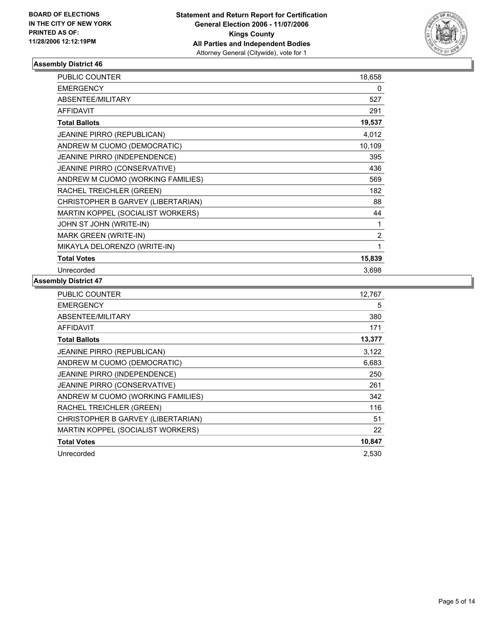

| PUBLIC COUNTER                     | 18,658         |
|------------------------------------|----------------|
| <b>EMERGENCY</b>                   | 0              |
| <b>ABSENTEE/MILITARY</b>           | 527            |
| <b>AFFIDAVIT</b>                   | 291            |
| <b>Total Ballots</b>               | 19,537         |
| JEANINE PIRRO (REPUBLICAN)         | 4,012          |
| ANDREW M CUOMO (DEMOCRATIC)        | 10,109         |
| JEANINE PIRRO (INDEPENDENCE)       | 395            |
| JEANINE PIRRO (CONSERVATIVE)       | 436            |
| ANDREW M CUOMO (WORKING FAMILIES)  | 569            |
| RACHEL TREICHLER (GREEN)           | 182            |
| CHRISTOPHER B GARVEY (LIBERTARIAN) | 88             |
| MARTIN KOPPEL (SOCIALIST WORKERS)  | 44             |
| JOHN ST JOHN (WRITE-IN)            | 1              |
| <b>MARK GREEN (WRITE-IN)</b>       | $\overline{2}$ |
| MIKAYLA DELORENZO (WRITE-IN)       | 1              |
| <b>Total Votes</b>                 | 15,839         |
| Unrecorded                         | 3,698          |

| PUBLIC COUNTER                     | 12,767 |
|------------------------------------|--------|
| <b>EMERGENCY</b>                   | 5      |
| ABSENTEE/MILITARY                  | 380    |
| AFFIDAVIT                          | 171    |
| <b>Total Ballots</b>               | 13,377 |
| JEANINE PIRRO (REPUBLICAN)         | 3,122  |
| ANDREW M CUOMO (DEMOCRATIC)        | 6,683  |
| JEANINE PIRRO (INDEPENDENCE)       | 250    |
| JEANINE PIRRO (CONSERVATIVE)       | 261    |
| ANDREW M CUOMO (WORKING FAMILIES)  | 342    |
| RACHEL TREICHLER (GREEN)           | 116    |
| CHRISTOPHER B GARVEY (LIBERTARIAN) | 51     |
| MARTIN KOPPEL (SOCIALIST WORKERS)  | 22     |
| <b>Total Votes</b>                 | 10,847 |
| Unrecorded                         | 2,530  |
|                                    |        |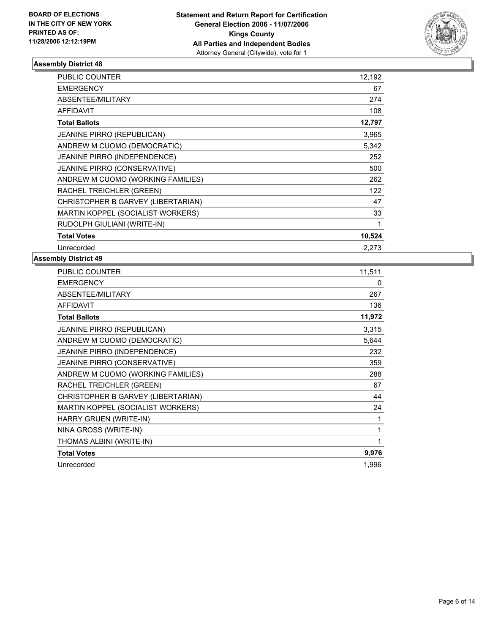

| PUBLIC COUNTER                      | 12,192 |
|-------------------------------------|--------|
| <b>EMERGENCY</b>                    | 67     |
| <b>ABSENTEE/MILITARY</b>            | 274    |
| <b>AFFIDAVIT</b>                    | 108    |
| <b>Total Ballots</b>                | 12,797 |
| <b>JEANINE PIRRO (REPUBLICAN)</b>   | 3,965  |
| ANDREW M CUOMO (DEMOCRATIC)         | 5,342  |
| JEANINE PIRRO (INDEPENDENCE)        | 252    |
| <b>JEANINE PIRRO (CONSERVATIVE)</b> | 500    |
| ANDREW M CUOMO (WORKING FAMILIES)   | 262    |
| RACHEL TREICHLER (GREEN)            | 122    |
| CHRISTOPHER B GARVEY (LIBERTARIAN)  | 47     |
| MARTIN KOPPEL (SOCIALIST WORKERS)   | 33     |
| RUDOLPH GIULIANI (WRITE-IN)         |        |
| <b>Total Votes</b>                  | 10,524 |
| Unrecorded                          | 2,273  |

| <b>PUBLIC COUNTER</b>              | 11,511 |
|------------------------------------|--------|
| <b>EMERGENCY</b>                   | 0      |
| ABSENTEE/MILITARY                  | 267    |
| <b>AFFIDAVIT</b>                   | 136    |
| <b>Total Ballots</b>               | 11,972 |
| <b>JEANINE PIRRO (REPUBLICAN)</b>  | 3,315  |
| ANDREW M CUOMO (DEMOCRATIC)        | 5,644  |
| JEANINE PIRRO (INDEPENDENCE)       | 232    |
| JEANINE PIRRO (CONSERVATIVE)       | 359    |
| ANDREW M CUOMO (WORKING FAMILIES)  | 288    |
| RACHEL TREICHLER (GREEN)           | 67     |
| CHRISTOPHER B GARVEY (LIBERTARIAN) | 44     |
| MARTIN KOPPEL (SOCIALIST WORKERS)  | 24     |
| HARRY GRUEN (WRITE-IN)             |        |
| NINA GROSS (WRITE-IN)              |        |
| THOMAS ALBINI (WRITE-IN)           |        |
| <b>Total Votes</b>                 | 9,976  |
| Unrecorded                         | 1,996  |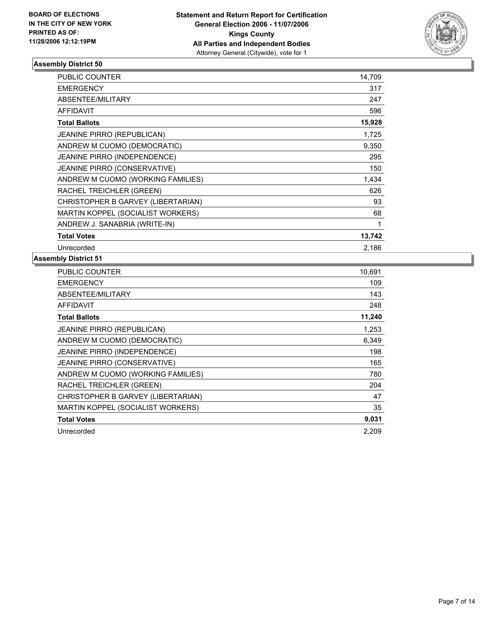

| <b>PUBLIC COUNTER</b>               | 14,709 |  |
|-------------------------------------|--------|--|
| <b>EMERGENCY</b>                    | 317    |  |
| ABSENTEE/MILITARY                   | 247    |  |
| <b>AFFIDAVIT</b>                    | 596    |  |
| <b>Total Ballots</b>                | 15,928 |  |
| <b>JEANINE PIRRO (REPUBLICAN)</b>   | 1,725  |  |
| ANDREW M CUOMO (DEMOCRATIC)         | 9,350  |  |
| JEANINE PIRRO (INDEPENDENCE)        | 295    |  |
| <b>JEANINE PIRRO (CONSERVATIVE)</b> | 150    |  |
| ANDREW M CUOMO (WORKING FAMILIES)   | 1,434  |  |
| RACHEL TREICHLER (GREEN)            | 626    |  |
| CHRISTOPHER B GARVEY (LIBERTARIAN)  | 93     |  |
| MARTIN KOPPEL (SOCIALIST WORKERS)   | 68     |  |
| ANDREW J. SANABRIA (WRITE-IN)       |        |  |
| <b>Total Votes</b>                  | 13,742 |  |
| Unrecorded                          | 2,186  |  |

| PUBLIC COUNTER                     | 10,691 |
|------------------------------------|--------|
| <b>EMERGENCY</b>                   | 109    |
| ABSENTEE/MILITARY                  | 143    |
| <b>AFFIDAVIT</b>                   | 248    |
| <b>Total Ballots</b>               | 11,240 |
| JEANINE PIRRO (REPUBLICAN)         | 1,253  |
| ANDREW M CUOMO (DEMOCRATIC)        | 6,349  |
| JEANINE PIRRO (INDEPENDENCE)       | 198    |
| JEANINE PIRRO (CONSERVATIVE)       | 165    |
| ANDREW M CUOMO (WORKING FAMILIES)  | 780    |
| RACHEL TREICHLER (GREEN)           | 204    |
| CHRISTOPHER B GARVEY (LIBERTARIAN) | 47     |
| MARTIN KOPPEL (SOCIALIST WORKERS)  | 35     |
| <b>Total Votes</b>                 | 9,031  |
| Unrecorded                         | 2,209  |
|                                    |        |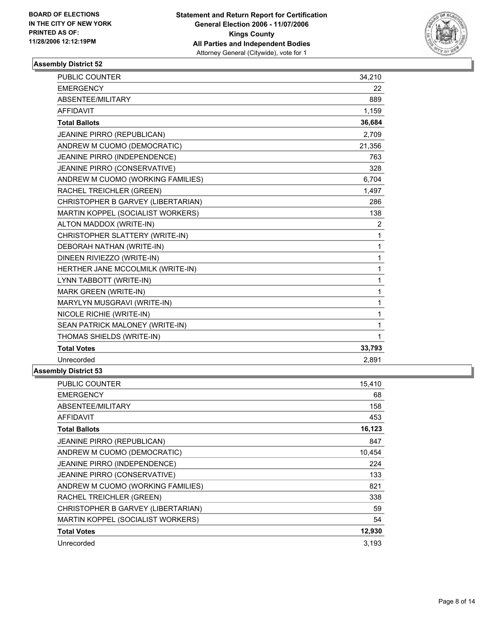

| <b>PUBLIC COUNTER</b>              | 15,410 |
|------------------------------------|--------|
| <b>EMERGENCY</b>                   | 68     |
| ABSENTEE/MILITARY                  | 158    |
| <b>AFFIDAVIT</b>                   | 453    |
| <b>Total Ballots</b>               | 16,123 |
| <b>JEANINE PIRRO (REPUBLICAN)</b>  | 847    |
| ANDREW M CUOMO (DEMOCRATIC)        | 10,454 |
| JEANINE PIRRO (INDEPENDENCE)       | 224    |
| JEANINE PIRRO (CONSERVATIVE)       | 133    |
| ANDREW M CUOMO (WORKING FAMILIES)  | 821    |
| RACHEL TREICHLER (GREEN)           | 338    |
| CHRISTOPHER B GARVEY (LIBERTARIAN) | 59     |
| MARTIN KOPPEL (SOCIALIST WORKERS)  | 54     |
| <b>Total Votes</b>                 | 12,930 |
| Unrecorded                         | 3,193  |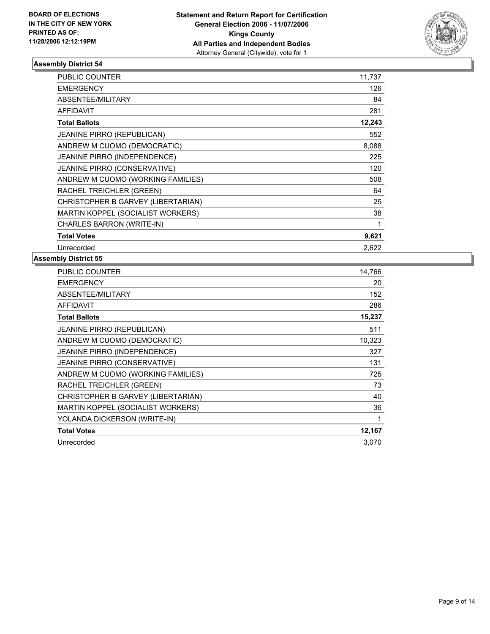

| <b>PUBLIC COUNTER</b>               | 11,737 |
|-------------------------------------|--------|
| <b>EMERGENCY</b>                    | 126    |
| ABSENTEE/MILITARY                   | 84     |
| <b>AFFIDAVIT</b>                    | 281    |
| <b>Total Ballots</b>                | 12,243 |
| <b>JEANINE PIRRO (REPUBLICAN)</b>   | 552    |
| ANDREW M CUOMO (DEMOCRATIC)         | 8,088  |
| JEANINE PIRRO (INDEPENDENCE)        | 225    |
| <b>JEANINE PIRRO (CONSERVATIVE)</b> | 120    |
| ANDREW M CUOMO (WORKING FAMILIES)   | 508    |
| RACHEL TREICHLER (GREEN)            | 64     |
| CHRISTOPHER B GARVEY (LIBERTARIAN)  | 25     |
| MARTIN KOPPEL (SOCIALIST WORKERS)   | 38     |
| CHARLES BARRON (WRITE-IN)           |        |
| <b>Total Votes</b>                  | 9,621  |
| Unrecorded                          | 2,622  |

| <b>PUBLIC COUNTER</b>              | 14,766 |
|------------------------------------|--------|
| <b>EMERGENCY</b>                   | 20     |
| ABSENTEE/MILITARY                  | 152    |
| <b>AFFIDAVIT</b>                   | 286    |
| <b>Total Ballots</b>               | 15,237 |
| <b>JEANINE PIRRO (REPUBLICAN)</b>  | 511    |
| ANDREW M CUOMO (DEMOCRATIC)        | 10,323 |
| JEANINE PIRRO (INDEPENDENCE)       | 327    |
| JEANINE PIRRO (CONSERVATIVE)       | 131    |
| ANDREW M CUOMO (WORKING FAMILIES)  | 725    |
| RACHEL TREICHLER (GREEN)           | 73     |
| CHRISTOPHER B GARVEY (LIBERTARIAN) | 40     |
| MARTIN KOPPEL (SOCIALIST WORKERS)  | 36     |
| YOLANDA DICKERSON (WRITE-IN)       | 1      |
| <b>Total Votes</b>                 | 12,167 |
| Unrecorded                         | 3,070  |
|                                    |        |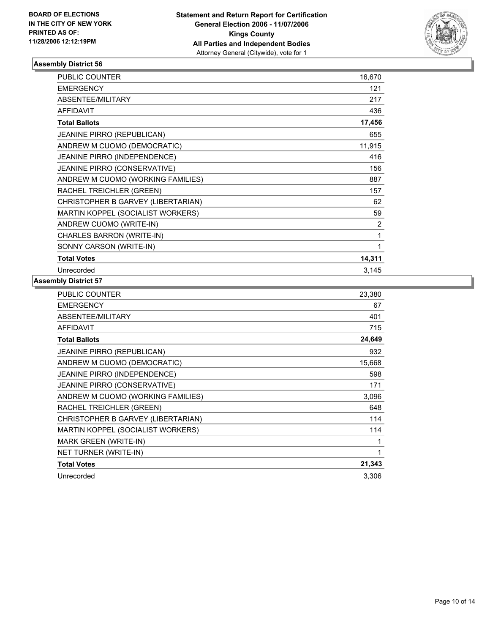

| <b>PUBLIC COUNTER</b>               | 16,670 |
|-------------------------------------|--------|
| <b>EMERGENCY</b>                    | 121    |
| ABSENTEE/MILITARY                   | 217    |
| <b>AFFIDAVIT</b>                    | 436    |
| <b>Total Ballots</b>                | 17,456 |
| JEANINE PIRRO (REPUBLICAN)          | 655    |
| ANDREW M CUOMO (DEMOCRATIC)         | 11,915 |
| JEANINE PIRRO (INDEPENDENCE)        | 416    |
| <b>JEANINE PIRRO (CONSERVATIVE)</b> | 156    |
| ANDREW M CUOMO (WORKING FAMILIES)   | 887    |
| RACHEL TREICHLER (GREEN)            | 157    |
| CHRISTOPHER B GARVEY (LIBERTARIAN)  | 62     |
| MARTIN KOPPEL (SOCIALIST WORKERS)   | 59     |
| ANDREW CUOMO (WRITE-IN)             | 2      |
| CHARLES BARRON (WRITE-IN)           | 1      |
| SONNY CARSON (WRITE-IN)             |        |
| <b>Total Votes</b>                  | 14,311 |
| Unrecorded                          | 3,145  |

| PUBLIC COUNTER                     | 23,380 |
|------------------------------------|--------|
| <b>EMERGENCY</b>                   | 67     |
| ABSENTEE/MILITARY                  | 401    |
| <b>AFFIDAVIT</b>                   | 715    |
| <b>Total Ballots</b>               | 24,649 |
| <b>JEANINE PIRRO (REPUBLICAN)</b>  | 932    |
| ANDREW M CUOMO (DEMOCRATIC)        | 15,668 |
| JEANINE PIRRO (INDEPENDENCE)       | 598    |
| JEANINE PIRRO (CONSERVATIVE)       | 171    |
| ANDREW M CUOMO (WORKING FAMILIES)  | 3,096  |
| RACHEL TREICHLER (GREEN)           | 648    |
| CHRISTOPHER B GARVEY (LIBERTARIAN) | 114    |
| MARTIN KOPPEL (SOCIALIST WORKERS)  | 114    |
| <b>MARK GREEN (WRITE-IN)</b>       |        |
| NET TURNER (WRITE-IN)              |        |
| <b>Total Votes</b>                 | 21,343 |
| Unrecorded                         | 3,306  |
|                                    |        |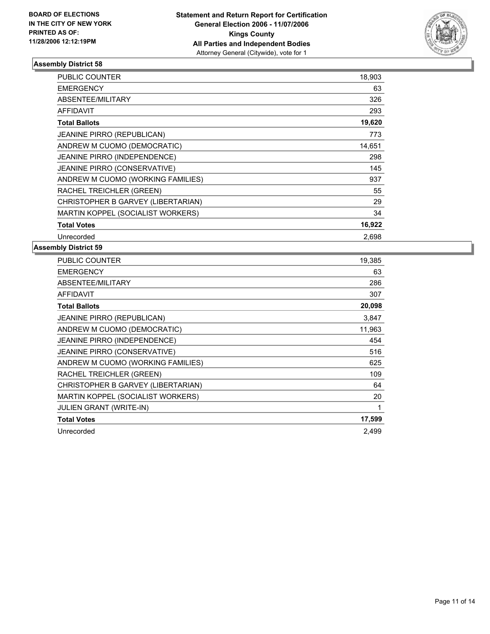

| <b>PUBLIC COUNTER</b>               | 18,903 |  |
|-------------------------------------|--------|--|
| <b>EMERGENCY</b>                    | 63     |  |
| ABSENTEE/MILITARY                   | 326    |  |
| AFFIDAVIT                           | 293    |  |
| <b>Total Ballots</b>                | 19,620 |  |
| <b>JEANINE PIRRO (REPUBLICAN)</b>   | 773    |  |
| ANDREW M CUOMO (DEMOCRATIC)         | 14,651 |  |
| JEANINE PIRRO (INDEPENDENCE)        | 298    |  |
| <b>JEANINE PIRRO (CONSERVATIVE)</b> | 145    |  |
| ANDREW M CUOMO (WORKING FAMILIES)   | 937    |  |
| RACHEL TREICHLER (GREEN)            | 55     |  |
| CHRISTOPHER B GARVEY (LIBERTARIAN)  | 29     |  |
| MARTIN KOPPEL (SOCIALIST WORKERS)   | 34     |  |
| <b>Total Votes</b>                  | 16,922 |  |
| Unrecorded                          | 2,698  |  |

| PUBLIC COUNTER                      | 19,385 |
|-------------------------------------|--------|
| <b>EMERGENCY</b>                    | 63     |
| ABSENTEE/MILITARY                   | 286    |
| <b>AFFIDAVIT</b>                    | 307    |
| <b>Total Ballots</b>                | 20,098 |
| <b>JEANINE PIRRO (REPUBLICAN)</b>   | 3,847  |
| ANDREW M CUOMO (DEMOCRATIC)         | 11,963 |
| <b>JEANINE PIRRO (INDEPENDENCE)</b> | 454    |
| JEANINE PIRRO (CONSERVATIVE)        | 516    |
| ANDREW M CUOMO (WORKING FAMILIES)   | 625    |
| RACHEL TREICHLER (GREEN)            | 109    |
| CHRISTOPHER B GARVEY (LIBERTARIAN)  | 64     |
| MARTIN KOPPEL (SOCIALIST WORKERS)   | 20     |
| <b>JULIEN GRANT (WRITE-IN)</b>      | 1      |
| <b>Total Votes</b>                  | 17,599 |
| Unrecorded                          | 2.499  |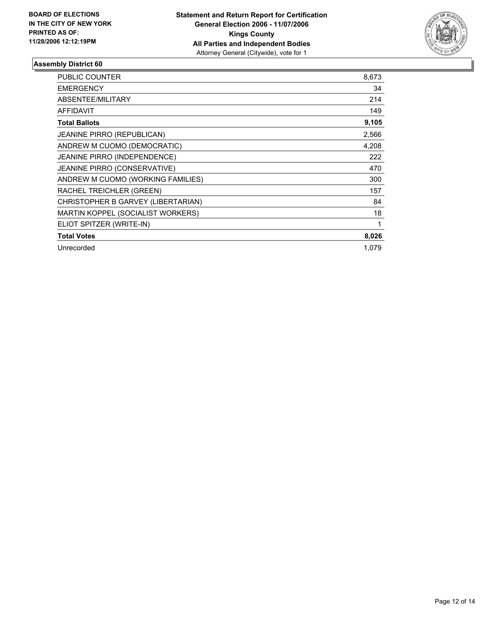

| <b>PUBLIC COUNTER</b>               | 8,673 |
|-------------------------------------|-------|
| <b>EMERGENCY</b>                    | 34    |
| ABSENTEE/MILITARY                   | 214   |
| <b>AFFIDAVIT</b>                    | 149   |
| <b>Total Ballots</b>                | 9,105 |
| JEANINE PIRRO (REPUBLICAN)          | 2,566 |
| ANDREW M CUOMO (DEMOCRATIC)         | 4,208 |
| <b>JEANINE PIRRO (INDEPENDENCE)</b> | 222   |
| JEANINE PIRRO (CONSERVATIVE)        | 470   |
| ANDREW M CUOMO (WORKING FAMILIES)   | 300   |
| RACHEL TREICHLER (GREEN)            | 157   |
| CHRISTOPHER B GARVEY (LIBERTARIAN)  | 84    |
| MARTIN KOPPEL (SOCIALIST WORKERS)   | 18    |
| ELIOT SPITZER (WRITE-IN)            |       |
| <b>Total Votes</b>                  | 8,026 |
| Unrecorded                          | 1.079 |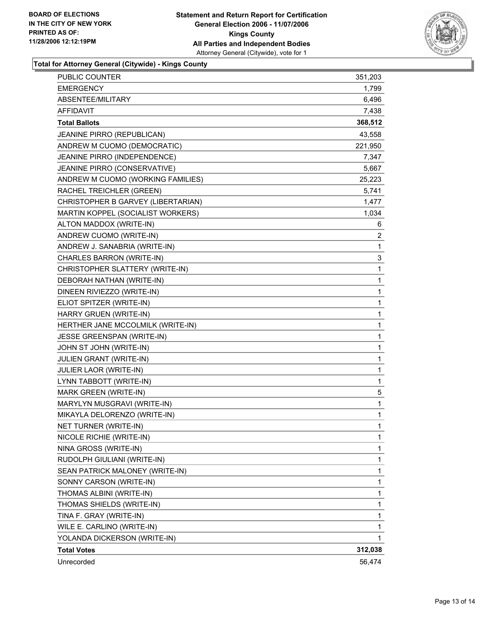

**Total for Attorney General (Citywide) - Kings County**

| PUBLIC COUNTER                     | 351,203 |
|------------------------------------|---------|
| <b>EMERGENCY</b>                   | 1,799   |
| ABSENTEE/MILITARY                  | 6,496   |
| <b>AFFIDAVIT</b>                   | 7,438   |
| <b>Total Ballots</b>               | 368,512 |
| JEANINE PIRRO (REPUBLICAN)         | 43,558  |
| ANDREW M CUOMO (DEMOCRATIC)        | 221,950 |
| JEANINE PIRRO (INDEPENDENCE)       | 7,347   |
| JEANINE PIRRO (CONSERVATIVE)       | 5,667   |
| ANDREW M CUOMO (WORKING FAMILIES)  | 25,223  |
| RACHEL TREICHLER (GREEN)           | 5,741   |
| CHRISTOPHER B GARVEY (LIBERTARIAN) | 1,477   |
| MARTIN KOPPEL (SOCIALIST WORKERS)  | 1,034   |
| ALTON MADDOX (WRITE-IN)            | 6       |
| ANDREW CUOMO (WRITE-IN)            | 2       |
| ANDREW J. SANABRIA (WRITE-IN)      | 1       |
| CHARLES BARRON (WRITE-IN)          | 3       |
| CHRISTOPHER SLATTERY (WRITE-IN)    | 1       |
| DEBORAH NATHAN (WRITE-IN)          | 1       |
| DINEEN RIVIEZZO (WRITE-IN)         | 1       |
| ELIOT SPITZER (WRITE-IN)           | 1       |
| HARRY GRUEN (WRITE-IN)             | 1       |
| HERTHER JANE MCCOLMILK (WRITE-IN)  | 1       |
| JESSE GREENSPAN (WRITE-IN)         | 1       |
| JOHN ST JOHN (WRITE-IN)            | 1       |
| JULIEN GRANT (WRITE-IN)            | 1       |
| <b>JULIER LAOR (WRITE-IN)</b>      | 1       |
| LYNN TABBOTT (WRITE-IN)            | 1       |
| MARK GREEN (WRITE-IN)              | 5       |
| MARYLYN MUSGRAVI (WRITE-IN)        | 1       |
| MIKAYLA DELORENZO (WRITE-IN)       | 1       |
| NET TURNER (WRITE-IN)              | 1       |
| NICOLE RICHIE (WRITE-IN)           | 1       |
| NINA GROSS (WRITE-IN)              | 1       |
| RUDOLPH GIULIANI (WRITE-IN)        | 1       |
| SEAN PATRICK MALONEY (WRITE-IN)    | 1       |
| SONNY CARSON (WRITE-IN)            | 1       |
| THOMAS ALBINI (WRITE-IN)           | 1       |
| THOMAS SHIELDS (WRITE-IN)          | 1       |
| TINA F. GRAY (WRITE-IN)            | 1       |
| WILE E. CARLINO (WRITE-IN)         | 1       |
| YOLANDA DICKERSON (WRITE-IN)       | 1       |
| <b>Total Votes</b>                 | 312,038 |
| Unrecorded                         | 56,474  |